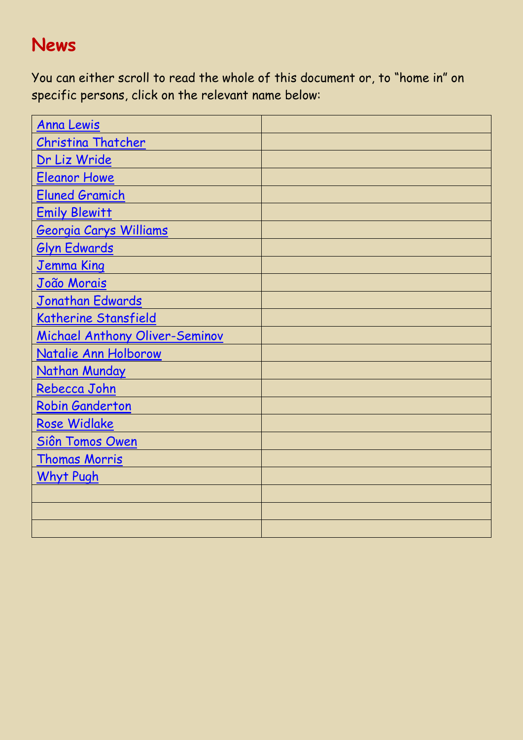## **News**

You can either scroll to read the whole of this document or, to "home in" on specific persons, click on the relevant name below:

| <b>Anna Lewis</b>              |  |
|--------------------------------|--|
| <b>Christina Thatcher</b>      |  |
| Dr Liz Wride                   |  |
| <b>Eleanor Howe</b>            |  |
| <b>Eluned Gramich</b>          |  |
| <b>Emily Blewitt</b>           |  |
| <b>Georgia Carys Williams</b>  |  |
| <b>Glyn Edwards</b>            |  |
| <u>Jemma King</u>              |  |
| <u>João Morais</u>             |  |
| Jonathan Edwards               |  |
| Katherine Stansfield           |  |
| Michael Anthony Oliver-Seminov |  |
| Natalie Ann Holborow           |  |
| Nathan Munday                  |  |
| Rebecca John                   |  |
| Robin Ganderton                |  |
| Rose Widlake                   |  |
| Siôn Tomos Owen                |  |
| <b>Thomas Morris</b>           |  |
| <b>Whyt Pugh</b>               |  |
|                                |  |
|                                |  |
|                                |  |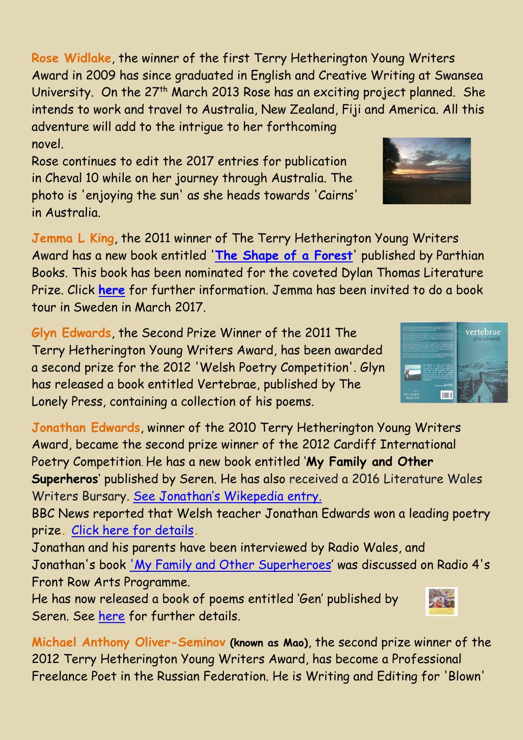<span id="page-1-4"></span>**Rose Widlake**, the winner of the first Terry Hetherington Young Writers Award in 2009 has since graduated in English and Creative Writing at Swansea University. On the 27<sup>th</sup> March 2013 Rose has an exciting project planned. She intends to work and travel to Australia, New Zealand, Fiji and America. All this adventure will add to the intrigue to her forthcoming novel.

Rose continues to edit the 2017 entries for publication in Cheval 10 while on her journey through Australia. The photo is 'enjoying the sun' as she heads towards 'Cairns' in Australia.

<span id="page-1-1"></span>**Jemma L King**, the 2011 winner of The Terry Hetherington Young Writers Award has a new book entitled '**The Shape of a Forest**' published by Parthian Books. This book has been nominated for the coveted Dylan Thomas Literature Prize. Click **[here](https://www.chevalwriters.org.uk/pdf_files/tutor_in_the_running_for_poetry_prize.pdf)** for further information. Jemma has been invited to do a book tour in Sweden in March 2017.

<span id="page-1-0"></span>**Glyn Edwards**, the Second Prize Winner of the 2011 The Terry Hetherington Young Writers Award, has been awarded a second prize for the 2012 'Welsh Poetry Competition'. Glyn has released a book entitled Vertebrae, published by The Lonely Press, containing a collection of his poems.

<span id="page-1-2"></span>**Jonathan Edwards**, winner of the 2010 Terry Hetherington Young Writers Award, became the second prize winner of the 2012 Cardiff International Poetry Competition. He has a new book entitled '**My Family and Other Superheros**' published by Seren. He has also received a 2016 Literature Wales Writers Bursary. [See Jonathan's Wikepedia entry.](https://en.wikipedia.org/wiki/Jonathan_Edwards_(poet))

BBC News reported that Welsh teacher Jonathan Edwards won a leading poetry prize**.** [Click here for details](https://www.chevalwriters.org.uk/pdf_files/BBC%20News%20-%20Welsh%20teacher%20Jonathan%20Edwards%20wins%20leading%20poetry%20prize.pdf)**.**

Jonathan and his parents have been interviewed by Radio Wales, and Jonathan's book 'My Family and Other Superheroes' was discussed on Radio 4's Front Row Arts Programme.

He has now released a book of poems entitled 'Gen' published by Seren. See [here](https://www.serenbooks.com/search/node/Gen) for further details.

<span id="page-1-3"></span>**Michael Anthony Oliver-Seminov (known as Mao)**, the second prize winner of the 2012 Terry Hetherington Young Writers Award, has become a Professional Freelance Poet in the Russian Federation. He is Writing and Editing for 'Blown'





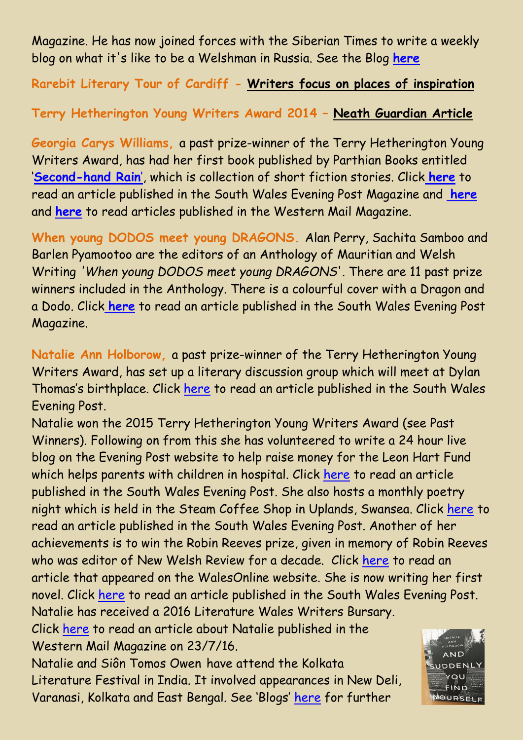Magazine. He has now joined forces with the Siberian Times to write a weekly blog on what it's like to be a Welshman in Russia. See the Blog **[here](https://www.chevalwriters.org.uk/user_content.html)**

## **Rarebit Literary Tour of Cardiff - [Writers focus on places of inspiration](http://www.chasecomputerservices.co.uk/cheval/pdf_files/Rarebit%20Literary%20Tour.pdf)**

## **Terry Hetherington Young Writers Award 2014 – [Neath Guardian Article](http://www.chasecomputerservices.co.uk/external_files/cheval/photos/TerryHetheringtonYoungWritersAward2014-NeathGuardianReport.jpg)**

<span id="page-2-0"></span>**Georgia Carys Williams,** a past prize-winner of the Terry Hetherington Young Writers Award, has had her first book published by Parthian Books entitled '**Second-hand Rain**', which is collection of short fiction stories. Click **[here](https://www.chevalwriters.org.uk/pdf_files/GeorgiaBookLaunch(FILEminimizer).pdf)** to read an article published in the South Wales Evening Post Magazine and **[here](https://www.chevalwriters.org.uk/pdf_files/GeorgiaSecondHandRain.pdf)** and **[here](https://www.chevalwriters.org.uk/external_files/cheval/photos/GeorgiaCarysWilliams300715A.jpg)** to read articles published in the Western Mail Magazine.

**When young DODOS meet young DRAGONS.** Alan Perry, Sachita Samboo and Barlen Pyamootoo are the editors of an Anthology of Mauritian and Welsh Writing *'When young DODOS meet young DRAGONS*'. There are 11 past prize winners included in the Anthology. There is a colourful cover with a Dragon and a Dodo. Click **[here](https://www.chevalwriters.org.uk/pdf_files/Dodos&Dragons.pdf)** to read an article published in the South Wales Evening Post Magazine.

<span id="page-2-1"></span>**Natalie Ann Holborow,** a past prize-winner of the Terry Hetherington Young Writers Award, has set up a literary discussion group which will meet at Dylan Thomas's birthplace. Click [here](https://www.chevalwriters.org.uk/pdf_files/NatalieHolborow280515.pdf) to read an article published in the South Wales Evening Post.

Natalie won the 2015 Terry Hetherington Young Writers Award (see Past Winners). Following on from this she has volunteered to write a 24 hour live blog on the Evening Post website to help raise money for the Leon Hart Fund which helps parents with children in hospital. Click [here](https://www.chevalwriters.org.uk/pdf_files/NatalieEveningPost020815.pdf) to read an article published in the South Wales Evening Post. She also hosts a monthly poetry night which is held in the Steam Coffee Shop in Uplands, Swansea. Click [here](https://www.chevalwriters.org.uk/pdf_files/ChevalNatalieHolborow221015.pdf) to read an article published in the South Wales Evening Post. Another of her achievements is to win the Robin Reeves prize, given in memory of Robin Reeves who was editor of New Welsh Review for a decade. Click [here](https://www.chevalwriters.org.uk/pdf_files/NatalieHolborow121215.pdf) to read an article that appeared on the WalesOnline website. She is now writing her first novel. Click [here](https://www.chevalwriters.org.uk/pdf_files/NatalieHolborow140416.pdf) to read an article published in the South Wales Evening Post. Natalie has received a 2016 Literature Wales Writers Bursary.

Click [here](https://www.chevalwriters.org.uk/external_files/cheval/photos/NatalieHolborow230716.jpg) to read an article about Natalie published in the Western Mail Magazine on 23/7/16.

Natalie and Siôn Tomos Owen have attend the Kolkata Literature Festival in India. It involved appearances in New Deli, Varanasi, Kolkata and East Bengal. See 'Blogs' [here](https://chevalwriters.org.uk/user_content.html) for further

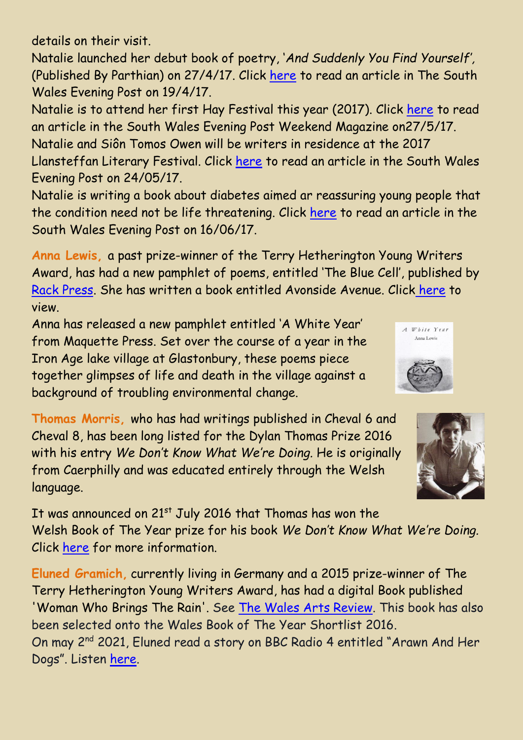details on their visit.

Natalie launched her debut book of poetry, '*And Suddenly You Find Yourself',*  (Published By Parthian) on 27/4/17. Click [here](https://www.chevalwriters.org.uk/external_files/cheval/photos/NatalieHolborrow270417.jpg) to read an article in The South Wales Evening Post on 19/4/17.

Natalie is to attend her first Hay Festival this year (2017). Click [here](https://www.chevalwriters.org.uk/pdf_files/NatalieHolborowHay270517.pdf) to read an article in the South Wales Evening Post Weekend Magazine on27/5/17. Natalie and Siôn Tomos Owen will be writers in residence at the 2017 Llansteffan Literary Festival. Click [here](https://www.chevalwriters.org.uk/external_files/cheval/photos/Llansteffan010617.jpg) to read an article in the South Wales Evening Post on 24/05/17.

Natalie is writing a book about diabetes aimed ar reassuring young people that the condition need not be life threatening. Click [here](https://www.chevalwriters.org.uk/pdf_files/NatalieHolborow160617.pdf) to read an article in the South Wales Evening Post on 16/06/17.

<span id="page-3-0"></span>**Anna Lewis,** a past prize-winner of the Terry Hetherington Young Writers Award, has had a new pamphlet of poems, entitled 'The Blue Cell', published by Rack Press. She has written a book entitled Avonside Avenue. Click [here](https://www.chevalwriters.org.uk/external_files/cheval/pdf/AnnaLewisAvonsideAvenueBook.pdf) to view.

Anna has released a new pamphlet entitled 'A White Year' from Maquette Press. Set over the course of a year in the Iron Age lake village at Glastonbury, these poems piece together glimpses of life and death in the village against a background of troubling environmental change.

<span id="page-3-2"></span>**Thomas Morris,** who has had writings published in Cheval 6 and Cheval 8, has been long listed for the Dylan Thomas Prize 2016 with his entry *We Don't Know What We're Doing.* He is originally from Caerphilly and was educated entirely through the Welsh language.



A White Year Anna Lewis

It was announced on 21<sup>st</sup> July 2016 that Thomas has won the Welsh Book of The Year prize for his book *We Don't Know What We're Doing.* Click [here](https://www.chevalwriters.org.uk/pdf_files/ThomasMorrisWelshBookOfTheYear2016.pdf) for more information.

<span id="page-3-1"></span>**Eluned Gramich,** currently living in Germany and a 2015 prize-winner of The Terry Hetherington Young Writers Award, has had a digital Book published 'Woman Who Brings The Rain'. See [The Wales Arts Review.](https://www.walesartsreview.org/woman-who-brings-the-rain-by-eluned-gramich/) This book has also been selected onto the Wales Book of The Year Shortlist 2016. On may 2<sup>nd</sup> 2021, Eluned read a story on BBC Radio 4 entitled "Arawn And Her Dogs". Listen [here.](https://www.bbc.co.uk/programmes/m000vp1f)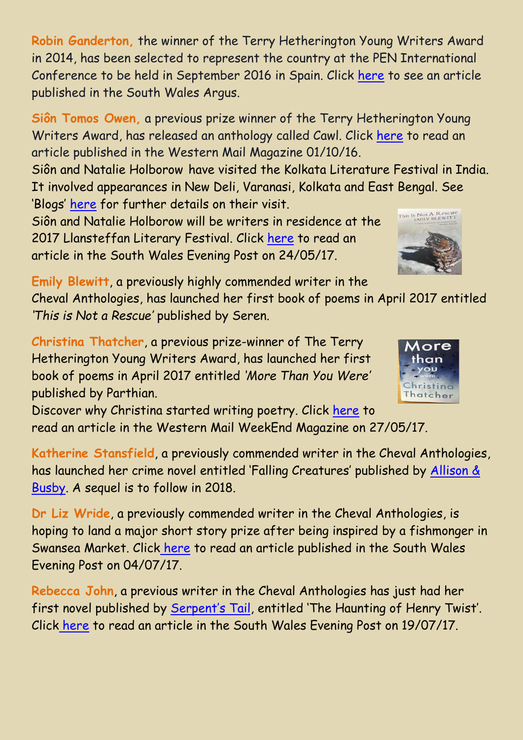<span id="page-4-5"></span>**Robin Ganderton,** the winner of the Terry Hetherington Young Writers Award in 2014, has been selected to represent the country at the PEN International Conference to be held in September 2016 in Spain. Click [here](https://www.chevalwriters.org.uk/external_files/cheval/photos/RobinGanderton160616.jpg) to see an article published in the South Wales Argus.

<span id="page-4-6"></span>**Siôn Tomos Owen,** a previous prize winner of the Terry Hetherington Young Writers Award, has released an anthology called Cawl. Click [here](https://www.chevalwriters.org.uk/external_files/cheval/photos/SionTomosOwen011016.jpg) to read an article published in the Western Mail Magazine 01/10/16.

Siôn and Natalie Holborow have visited the Kolkata Literature Festival in India. It involved appearances in New Deli, Varanasi, Kolkata and East Bengal. See 'Blogs' [here](http://chevalwriters.org.uk/user_content.html) for further details on their visit.

Siôn and Natalie Holborow will be writers in residence at the 2017 Llansteffan Literary Festival. Click [here](https://www.chevalwriters.org.uk/external_files/cheval/photos/Llansteffan010617.jpg) to read an article in the South Wales Evening Post on 24/05/17.

<span id="page-4-2"></span>**Emily Blewitt**, a previously highly commended writer in the Cheval Anthologies, has launched her first book of poems in April 2017 entitled *'This is Not a Rescue'* published by Seren.

<span id="page-4-0"></span>**Christina Thatcher**, a previous prize-winner of The Terry Hetherington Young Writers Award, has launched her first book of poems in April 2017 entitled *'More Than You Were'* published by Parthian.

Discover why Christina started writing poetry. Click [here](https://www.chevalwriters.org.uk/external_files/cheval/photos/ChristinaThatcher270517.jpg) to read an article in the Western Mail WeekEnd Magazine on 27/05/17.

<span id="page-4-3"></span>**Katherine Stansfield**, a previously commended writer in the Cheval Anthologies, has launched her crime novel entitled 'Falling Creatures' published by Allison & Busby. A sequel is to follow in 2018.

<span id="page-4-1"></span>**Dr Liz Wride**, a previously commended writer in the Cheval Anthologies, is hoping to land a major short story prize after being inspired by a fishmonger in Swansea Market. Click [here](https://www.chevalwriters.org.uk/external_files/cheval/photos/LizWride060717.jpg) to read an article published in the South Wales Evening Post on 04/07/17.

<span id="page-4-4"></span>**Rebecca John**, a previous writer in the Cheval Anthologies has just had her first novel published by Serpent's Tail, entitled 'The Haunting of Henry Twist'. Click [here](https://www.chevalwriters.org.uk/external_files/cheval/photos/RebeccaJohn210717.jpg) to read an article in the South Wales Evening Post on 19/07/17.